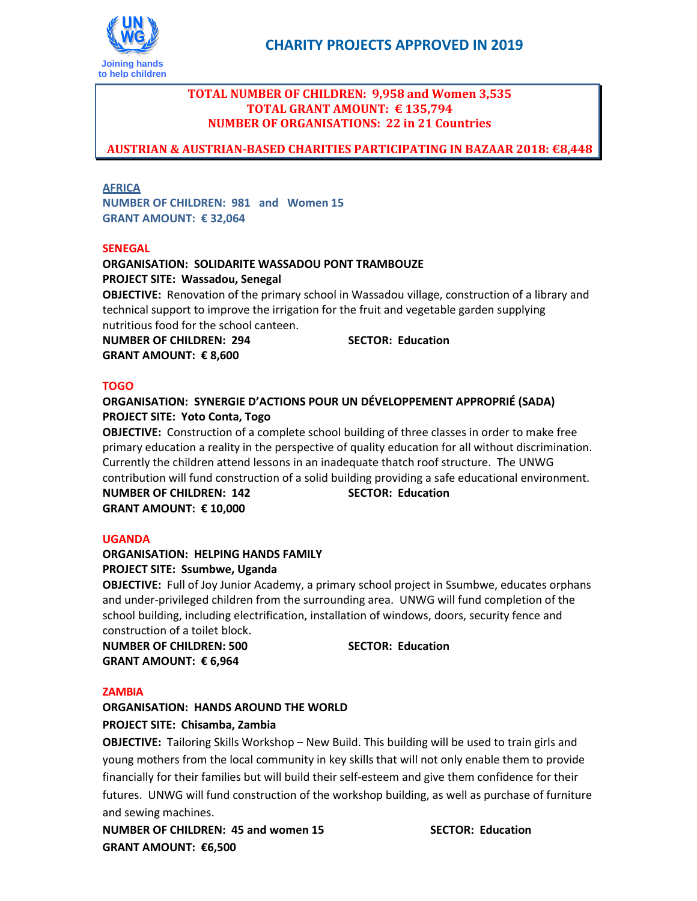

# **TOTAL NUMBER OF CHILDREN: 9,958 and Women 3,535 TOTAL GRANT AMOUNT: € 135,794 NUMBER OF ORGANISATIONS: 22 in 21 Countries**

# **AUSTRIAN & AUSTRIAN-BASED CHARITIES PARTICIPATING IN BAZAAR 2018: €8,448**

### **AFRICA**

**NUMBER OF CHILDREN: 981 and Women 15 GRANT AMOUNT: € 32,064**

### **SENEGAL**

# **ORGANISATION: SOLIDARITE WASSADOU PONT TRAMBOUZE PROJECT SITE: Wassadou, Senegal**

**OBJECTIVE:** Renovation of the primary school in Wassadou village, construction of a library and technical support to improve the irrigation for the fruit and vegetable garden supplying nutritious food for the school canteen.

**NUMBER OF CHILDREN: 294 SECTOR: Education GRANT AMOUNT: € 8,600**

### **TOGO**

### **ORGANISATION: SYNERGIE D'ACTIONS POUR UN DÉVELOPPEMENT APPROPRIÉ (SADA) PROJECT SITE: Yoto Conta, Togo**

**OBJECTIVE:** Construction of a complete school building of three classes in order to make free primary education a reality in the perspective of quality education for all without discrimination. Currently the children attend lessons in an inadequate thatch roof structure. The UNWG contribution will fund construction of a solid building providing a safe educational environment. **NUMBER OF CHILDREN: 142 SECTOR: Education GRANT AMOUNT: € 10,000**

### **UGANDA**

### **ORGANISATION: HELPING HANDS FAMILY PROJECT SITE: Ssumbwe, Uganda**

**OBJECTIVE:** Full of Joy Junior Academy, a primary school project in Ssumbwe, educates orphans and under-privileged children from the surrounding area. UNWG will fund completion of the school building, including electrification, installation of windows, doors, security fence and construction of a toilet block.

**NUMBER OF CHILDREN: 500 SECTOR: Education GRANT AMOUNT: € 6,964**

### **ZAMBIA**

**ORGANISATION: HANDS AROUND THE WORLD PROJECT SITE: Chisamba, Zambia**

**OBJECTIVE:** Tailoring Skills Workshop – New Build. This building will be used to train girls and young mothers from the local community in key skills that will not only enable them to provide financially for their families but will build their self-esteem and give them confidence for their futures. UNWG will fund construction of the workshop building, as well as purchase of furniture and sewing machines.

**NUMBER OF CHILDREN: 45 and women 15 SECTOR: Education GRANT AMOUNT: €6,500**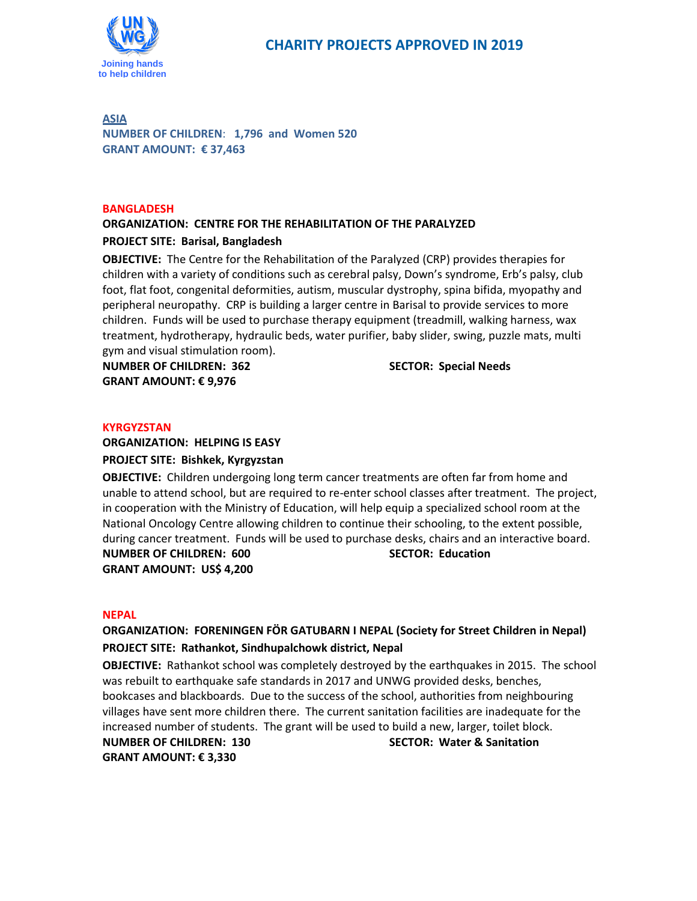

**ASIA NUMBER OF CHILDREN**: **1,796 and Women 520 GRANT AMOUNT: € 37,463**

#### **BANGLADESH**

### **ORGANIZATION: CENTRE FOR THE REHABILITATION OF THE PARALYZED**

### **PROJECT SITE: Barisal, Bangladesh**

**OBJECTIVE:** The Centre for the Rehabilitation of the Paralyzed (CRP) provides therapies for children with a variety of conditions such as cerebral palsy, Down's syndrome, Erb's palsy, club foot, flat foot, congenital deformities, autism, muscular dystrophy, spina bifida, myopathy and peripheral neuropathy. CRP is building a larger centre in Barisal to provide services to more children. Funds will be used to purchase therapy equipment (treadmill, walking harness, wax treatment, hydrotherapy, hydraulic beds, water purifier, baby slider, swing, puzzle mats, multi gym and visual stimulation room).

**NUMBER OF CHILDREN: 362 SECTOR: Special Needs GRANT AMOUNT: € 9,976**

### **KYRGYZSTAN**

# **ORGANIZATION: HELPING IS EASY PROJECT SITE: Bishkek, Kyrgyzstan**

**OBJECTIVE:** Children undergoing long term cancer treatments are often far from home and unable to attend school, but are required to re-enter school classes after treatment. The project, in cooperation with the Ministry of Education, will help equip a specialized school room at the National Oncology Centre allowing children to continue their schooling, to the extent possible, during cancer treatment. Funds will be used to purchase desks, chairs and an interactive board.

**NUMBER OF CHILDREN: 600 SECTOR: Education GRANT AMOUNT: US\$ 4,200**

### **NEPAL**

# **ORGANIZATION: FORENINGEN FÖR GATUBARN I NEPAL (Society for Street Children in Nepal) PROJECT SITE: Rathankot, Sindhupalchowk district, Nepal**

**OBJECTIVE:** Rathankot school was completely destroyed by the earthquakes in 2015. The school was rebuilt to earthquake safe standards in 2017 and UNWG provided desks, benches, bookcases and blackboards. Due to the success of the school, authorities from neighbouring villages have sent more children there. The current sanitation facilities are inadequate for the increased number of students. The grant will be used to build a new, larger, toilet block.

**GRANT AMOUNT: € 3,330**

**NUMBER OF CHILDREN: 130 SECTOR: Water & Sanitation**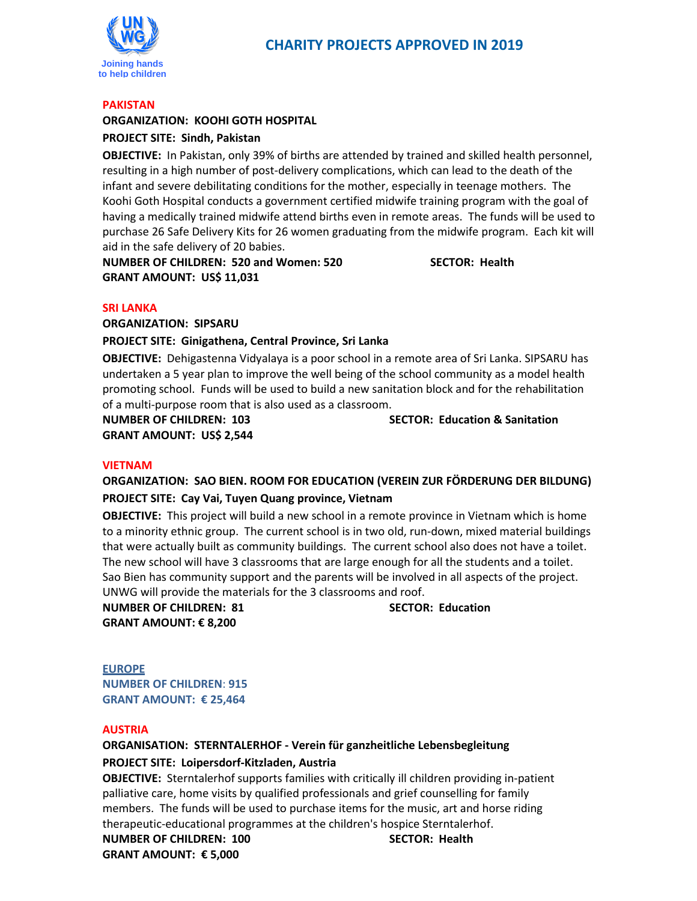

#### **PAKISTAN**

### **ORGANIZATION: KOOHI GOTH HOSPITAL PROJECT SITE: Sindh, Pakistan**

**OBJECTIVE:** In Pakistan, only 39% of births are attended by trained and skilled health personnel, resulting in a high number of post-delivery complications, which can lead to the death of the infant and severe debilitating conditions for the mother, especially in teenage mothers. The Koohi Goth Hospital conducts a government certified midwife training program with the goal of having a medically trained midwife attend births even in remote areas. The funds will be used to purchase 26 Safe Delivery Kits for 26 women graduating from the midwife program. Each kit will aid in the safe delivery of 20 babies.

**NUMBER OF CHILDREN: 520 and Women: 520 SECTOR: Health GRANT AMOUNT: US\$ 11,031**

### **SRI LANKA**

**ORGANIZATION: SIPSARU**

### **PROJECT SITE: Ginigathena, Central Province, Sri Lanka**

**OBJECTIVE:** Dehigastenna Vidyalaya is a poor school in a remote area of Sri Lanka. SIPSARU has undertaken a 5 year plan to improve the well being of the school community as a model health promoting school. Funds will be used to build a new sanitation block and for the rehabilitation of a multi-purpose room that is also used as a classroom.

**GRANT AMOUNT: US\$ 2,544**

**NUMBER OF CHILDREN: 103 SECTOR: Education & Sanitation**

### **VIETNAM**

# **ORGANIZATION: SAO BIEN. ROOM FOR EDUCATION (VEREIN ZUR FÖRDERUNG DER BILDUNG) PROJECT SITE: Cay Vai, Tuyen Quang province, Vietnam**

**OBJECTIVE:** This project will build a new school in a remote province in Vietnam which is home to a minority ethnic group. The current school is in two old, run-down, mixed material buildings that were actually built as community buildings. The current school also does not have a toilet. The new school will have 3 classrooms that are large enough for all the students and a toilet. Sao Bien has community support and the parents will be involved in all aspects of the project. UNWG will provide the materials for the 3 classrooms and roof.

**NUMBER OF CHILDREN: 81 SECTOR: Education GRANT AMOUNT: € 8,200**

**EUROPE NUMBER OF CHILDREN**: **915 GRANT AMOUNT: € 25,464**

### **AUSTRIA**

# **ORGANISATION: STERNTALERHOF - Verein für ganzheitliche Lebensbegleitung PROJECT SITE: Loipersdorf-Kitzladen, Austria**

**OBJECTIVE:** Sterntalerhof supports families with critically ill children providing in-patient palliative care, home visits by qualified professionals and grief counselling for family members. The funds will be used to purchase items for the music, art and horse riding therapeutic-educational programmes at the children's hospice Sterntalerhof. **NUMBER OF CHILDREN: 100 SECTOR: Health GRANT AMOUNT: € 5,000**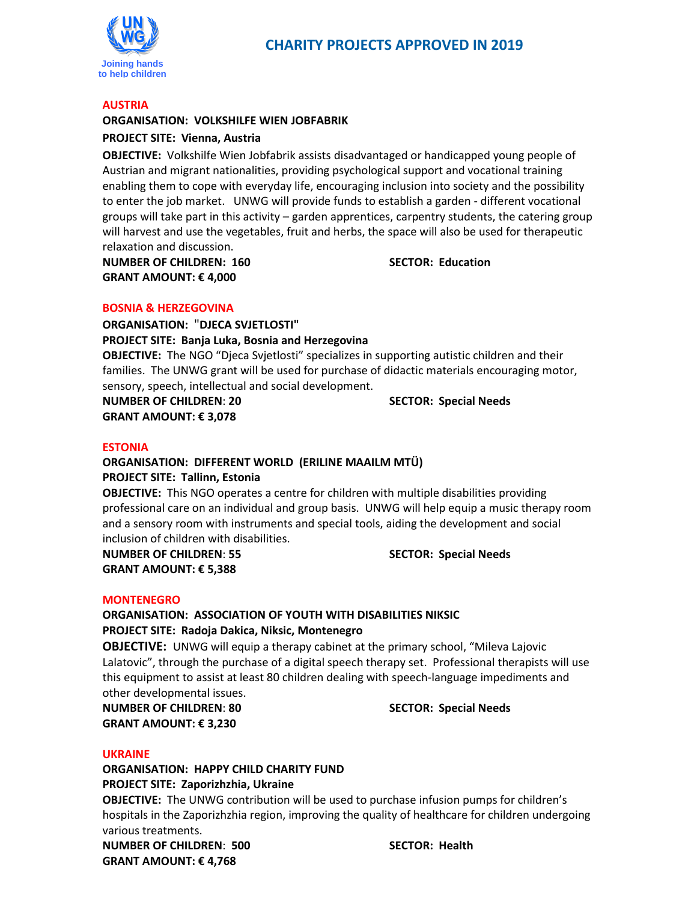

#### **AUSTRIA**

# **ORGANISATION: VOLKSHILFE WIEN JOBFABRIK**

# **PROJECT SITE: Vienna, Austria**

**OBJECTIVE:** Volkshilfe Wien Jobfabrik assists disadvantaged or handicapped young people of Austrian and migrant nationalities, providing psychological support and vocational training enabling them to cope with everyday life, encouraging inclusion into society and the possibility to enter the job market. UNWG will provide funds to establish a garden - different vocational groups will take part in this activity – garden apprentices, carpentry students, the catering group will harvest and use the vegetables, fruit and herbs, the space will also be used for therapeutic relaxation and discussion.

**NUMBER OF CHILDREN: 160 SECTOR: Education GRANT AMOUNT: € 4,000**

### **BOSNIA & HERZEGOVINA**

**ORGANISATION:** "**DJECA SVJETLOSTI" PROJECT SITE: Banja Luka, Bosnia and Herzegovina OBJECTIVE:** The NGO "Djeca Svjetlosti" specializes in supporting autistic children and their

families. The UNWG grant will be used for purchase of didactic materials encouraging motor, sensory, speech, intellectual and social development.

**NUMBER OF CHILDREN**: **20 SECTOR: Special Needs GRANT AMOUNT: € 3,078**

### **ESTONIA**

### **ORGANISATION: DIFFERENT WORLD (ERILINE MAAILM MTÜ) PROJECT SITE: Tallinn, Estonia**

**OBJECTIVE:** This NGO operates a centre for children with multiple disabilities providing professional care on an individual and group basis. UNWG will help equip a music therapy room and a sensory room with instruments and special tools, aiding the development and social inclusion of children with disabilities.

**NUMBER OF CHILDREN**: **55 SECTOR: Special Needs GRANT AMOUNT: € 5,388**

### **MONTENEGRO**

**ORGANISATION: ASSOCIATION OF YOUTH WITH DISABILITIES NIKSIC PROJECT SITE: Radoja Dakica, Niksic, Montenegro**

**OBJECTIVE:** UNWG will equip a therapy cabinet at the primary school, "Mileva Lajovic Lalatovic", through the purchase of a digital speech therapy set. Professional therapists will use this equipment to assist at least 80 children dealing with speech-language impediments and other developmental issues.

**NUMBER OF CHILDREN**: **80 SECTOR: Special Needs GRANT AMOUNT: € 3,230**

### **UKRAINE**

**ORGANISATION: HAPPY CHILD CHARITY FUND PROJECT SITE: Zaporizhzhia, Ukraine**

**OBJECTIVE:** The UNWG contribution will be used to purchase infusion pumps for children's hospitals in the Zaporizhzhia region, improving the quality of healthcare for children undergoing various treatments.

**NUMBER OF CHILDREN**: **500 SECTOR: Health GRANT AMOUNT: € 4,768**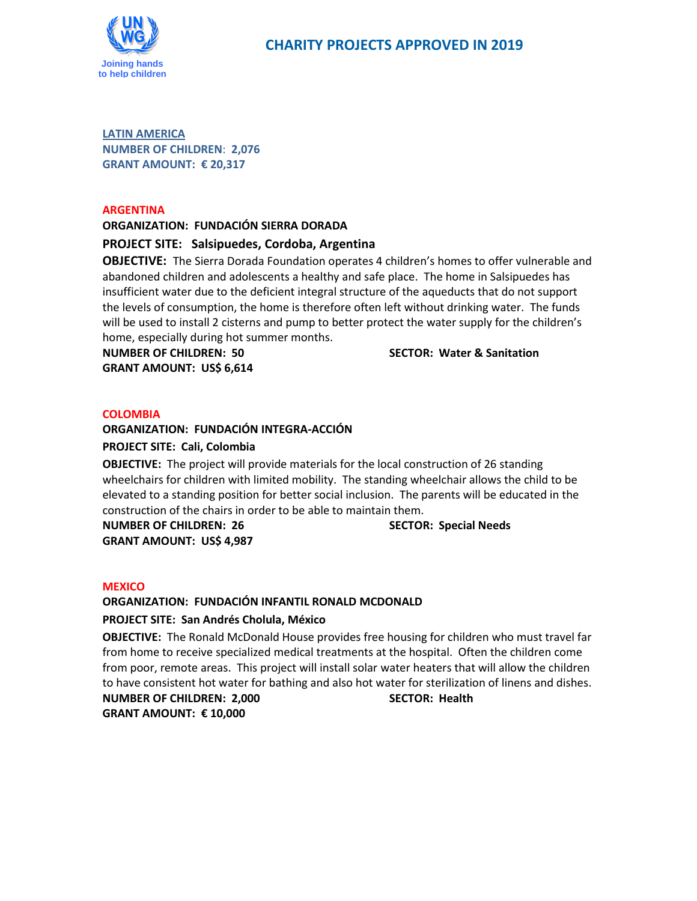

**LATIN AMERICA NUMBER OF CHILDREN**: **2,076 GRANT AMOUNT: € 20,317**

### **ARGENTINA**

### **ORGANIZATION: FUNDACIÓN SIERRA DORADA**

### **PROJECT SITE: Salsipuedes, Cordoba, Argentina**

**OBJECTIVE:** The Sierra Dorada Foundation operates 4 children's homes to offer vulnerable and abandoned children and adolescents a healthy and safe place. The home in Salsipuedes has insufficient water due to the deficient integral structure of the aqueducts that do not support the levels of consumption, the home is therefore often left without drinking water. The funds will be used to install 2 cisterns and pump to better protect the water supply for the children's home, especially during hot summer months.

**NUMBER OF CHILDREN: 50 SECTOR: Water & Sanitation GRANT AMOUNT: US\$ 6,614**

### **COLOMBIA**

### **ORGANIZATION: FUNDACIÓN INTEGRA-ACCIÓN**

### **PROJECT SITE: Cali, Colombia**

**OBJECTIVE:** The project will provide materials for the local construction of 26 standing wheelchairs for children with limited mobility. The standing wheelchair allows the child to be elevated to a standing position for better social inclusion. The parents will be educated in the construction of the chairs in order to be able to maintain them.

**NUMBER OF CHILDREN: 26 SECTOR: Special Needs GRANT AMOUNT: US\$ 4,987**

#### **MEXICO**

### **ORGANIZATION: FUNDACIÓN INFANTIL RONALD MCDONALD**

### **PROJECT SITE: San Andrés Cholula, México**

**OBJECTIVE:** The Ronald McDonald House provides free housing for children who must travel far from home to receive specialized medical treatments at the hospital. Often the children come from poor, remote areas. This project will install solar water heaters that will allow the children to have consistent hot water for bathing and also hot water for sterilization of linens and dishes. **NUMBER OF CHILDREN: 2,000 SECTOR: Health**

**GRANT AMOUNT: € 10,000**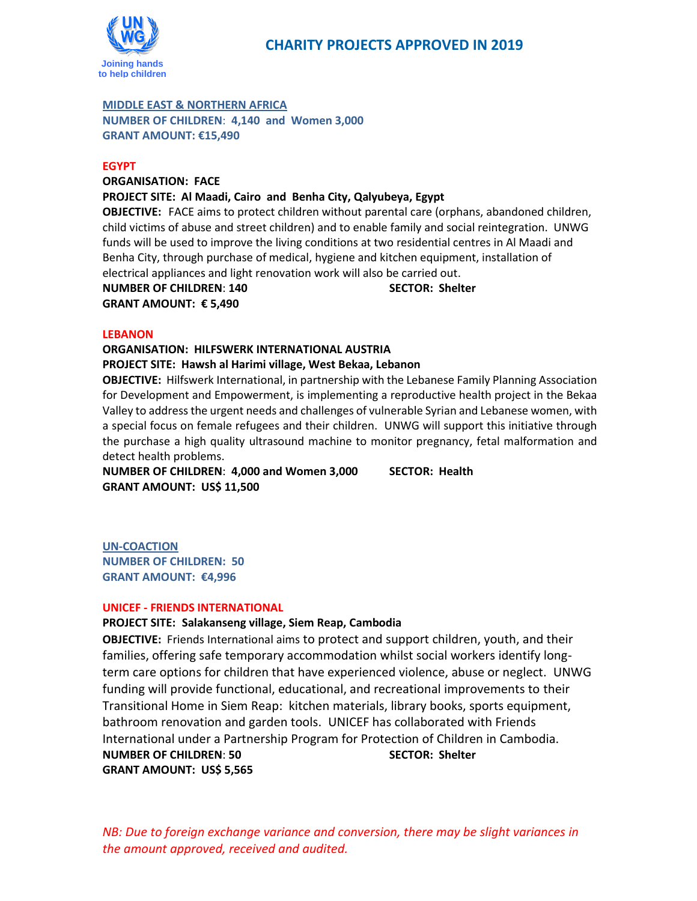

### **MIDDLE EAST & NORTHERN AFRICA**

**NUMBER OF CHILDREN**: **4,140 and Women 3,000 GRANT AMOUNT: €15,490**

### **EGYPT**

**ORGANISATION: FACE PROJECT SITE: Al Maadi, Cairo and Benha City, Qalyubeya, Egypt**

**OBJECTIVE:** FACE aims to protect children without parental care (orphans, abandoned children, child victims of abuse and street children) and to enable family and social reintegration. UNWG funds will be used to improve the living conditions at two residential centres in Al Maadi and Benha City, through purchase of medical, hygiene and kitchen equipment, installation of electrical appliances and light renovation work will also be carried out.

**NUMBER OF CHILDREN**: **140 SECTOR: Shelter GRANT AMOUNT: € 5,490**

### **LEBANON**

### **ORGANISATION: HILFSWERK INTERNATIONAL AUSTRIA**

### **PROJECT SITE: Hawsh al Harimi village, West Bekaa, Lebanon**

**OBJECTIVE:** Hilfswerk International, in partnership with the Lebanese Family Planning Association for Development and Empowerment, is implementing a reproductive health project in the Bekaa Valley to address the urgent needs and challenges of vulnerable Syrian and Lebanese women, with a special focus on female refugees and their children. UNWG will support this initiative through the purchase a high quality ultrasound machine to monitor pregnancy, fetal malformation and detect health problems.

**NUMBER OF CHILDREN**: **4,000 and Women 3,000 SECTOR: Health GRANT AMOUNT: US\$ 11,500**

**UN-COACTION NUMBER OF CHILDREN: 50 GRANT AMOUNT: €4,996**

### **UNICEF - FRIENDS INTERNATIONAL**

### **PROJECT SITE: Salakanseng village, Siem Reap, Cambodia**

**OBJECTIVE:** Friends International aims to protect and support children, youth, and their families, offering safe temporary accommodation whilst social workers identify longterm care options for children that have experienced violence, abuse or neglect. UNWG funding will provide functional, educational, and recreational improvements to their Transitional Home in Siem Reap: kitchen materials, library books, sports equipment, bathroom renovation and garden tools. UNICEF has collaborated with Friends International under a Partnership Program for Protection of Children in Cambodia. **NUMBER OF CHILDREN**: **50 SECTOR: Shelter GRANT AMOUNT: US\$ 5,565**

*NB: Due to foreign exchange variance and conversion, there may be slight variances in the amount approved, received and audited.*